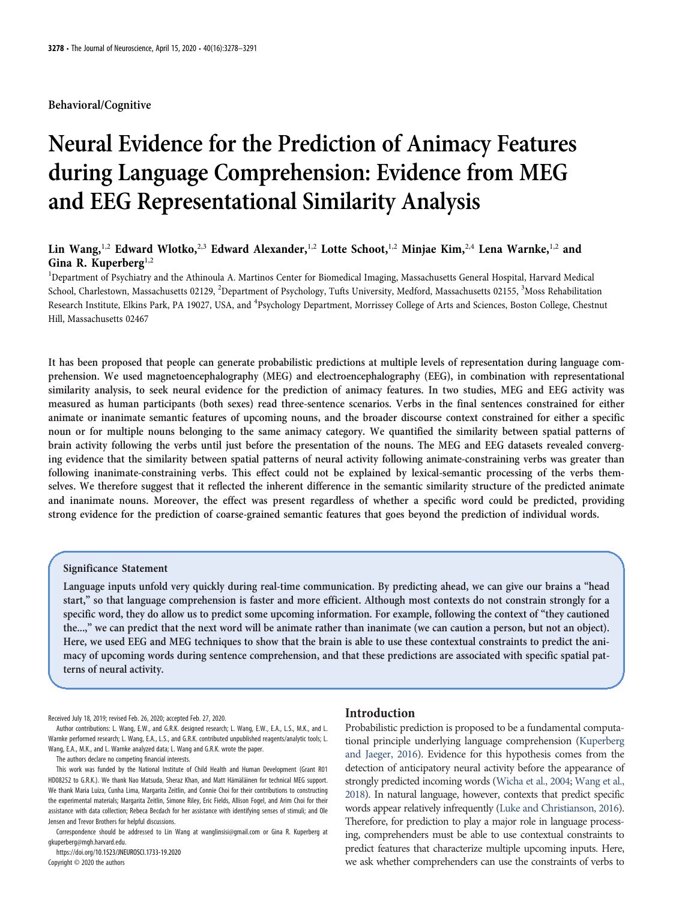Behavioral/Cognitive

# Neural Evidence for the Prediction of Animacy Features during Language Comprehension: Evidence from MEG and EEG Representational Similarity Analysis

# Lin Wang,<sup>1,2</sup> Edward Wlotko,<sup>2,3</sup> Edward Alexander,<sup>1,2</sup> Lotte Schoot,<sup>1,2</sup> Minjae Kim,<sup>2,4</sup> Lena Warnke,<sup>1,2</sup> and Gina R. Kuperberg<sup>1,2</sup>

<sup>1</sup>Department of Psychiatry and the Athinoula A. Martinos Center for Biomedical Imaging, Massachusetts General Hospital, Harvard Medical School, Charlestown, Massachusetts 02129, <sup>2</sup>Department of Psychology, Tufts University, Medford, Massachusetts 02155, <sup>3</sup>Moss Rehabilitation Research Institute, Elkins Park, PA 19027, USA, and <sup>4</sup>Psychology Department, Morrissey College of Arts and Sciences, Boston College, Chestnut Hill, Massachusetts 02467

It has been proposed that people can generate probabilistic predictions at multiple levels of representation during language comprehension. We used magnetoencephalography (MEG) and electroencephalography (EEG), in combination with representational similarity analysis, to seek neural evidence for the prediction of animacy features. In two studies, MEG and EEG activity was measured as human participants (both sexes) read three-sentence scenarios. Verbs in the final sentences constrained for either animate or inanimate semantic features of upcoming nouns, and the broader discourse context constrained for either a specific noun or for multiple nouns belonging to the same animacy category. We quantified the similarity between spatial patterns of brain activity following the verbs until just before the presentation of the nouns. The MEG and EEG datasets revealed converging evidence that the similarity between spatial patterns of neural activity following animate-constraining verbs was greater than following inanimate-constraining verbs. This effect could not be explained by lexical-semantic processing of the verbs themselves. We therefore suggest that it reflected the inherent difference in the semantic similarity structure of the predicted animate and inanimate nouns. Moreover, the effect was present regardless of whether a specific word could be predicted, providing strong evidence for the prediction of coarse-grained semantic features that goes beyond the prediction of individual words.

## Significance Statement

Language inputs unfold very quickly during real-time communication. By predicting ahead, we can give our brains a "head start," so that language comprehension is faster and more efficient. Although most contexts do not constrain strongly for a specific word, they do allow us to predict some upcoming information. For example, following the context of "they cautioned the...," we can predict that the next word will be animate rather than inanimate (we can caution a person, but not an object). Here, we used EEG and MEG techniques to show that the brain is able to use these contextual constraints to predict the animacy of upcoming words during sentence comprehension, and that these predictions are associated with specific spatial patterns of neural activity.

Received July 18, 2019; revised Feb. 26, 2020; accepted Feb. 27, 2020.

Author contributions: L. Wang, E.W., and G.R.K. designed research; L. Wang, E.W., E.A., L.S., M.K., and L. Warnke performed research; L. Wang, E.A., L.S., and G.R.K. contributed unpublished reagents/analytic tools; L. Wang, E.A., M.K., and L. Warnke analyzed data; L. Wang and G.R.K. wrote the paper.

The authors declare no competing financial interests.

This work was funded by the National Institute of Child Health and Human Development (Grant R01 HD08252 to G.R.K.). We thank Nao Matsuda, Sheraz Khan, and Matt Hämäläinen for technical MEG support. We thank Maria Luiza, Cunha Lima, Margarita Zeitlin, and Connie Choi for their contributions to constructing the experimental materials; Margarita Zeitlin, Simone Riley, Eric Fields, Allison Fogel, and Arim Choi for their assistance with data collection; Rebeca Becdach for her assistance with identifying senses of stimuli; and Ole Jensen and Trevor Brothers for helpful discussions.

Correspondence should be addressed to Lin Wang at [wanglinsisi@gmail.com](mailto:wanglinsisi@gmail.com) or Gina R. Kuperberg at [gkuperberg@mgh.harvard.edu.](mailto:gkuperberg@mgh.harvard.edu)

https://doi.org/10.1523/JNEUROSCI.1733-19.2020 Copyright © 2020 the authors

# Introduction

Probabilistic prediction is proposed to be a fundamental computational principle underlying language comprehension ([Kuperberg](#page-13-0) [and Jaeger, 2016](#page-13-0)). Evidence for this hypothesis comes from the detection of anticipatory neural activity before the appearance of strongly predicted incoming words [\(Wicha et al., 2004;](#page-13-1) [Wang et al.,](#page-13-2) [2018](#page-13-2)). In natural language, however, contexts that predict specific words appear relatively infrequently [\(Luke and Christianson, 2016\)](#page-13-3). Therefore, for prediction to play a major role in language processing, comprehenders must be able to use contextual constraints to predict features that characterize multiple upcoming inputs. Here, we ask whether comprehenders can use the constraints of verbs to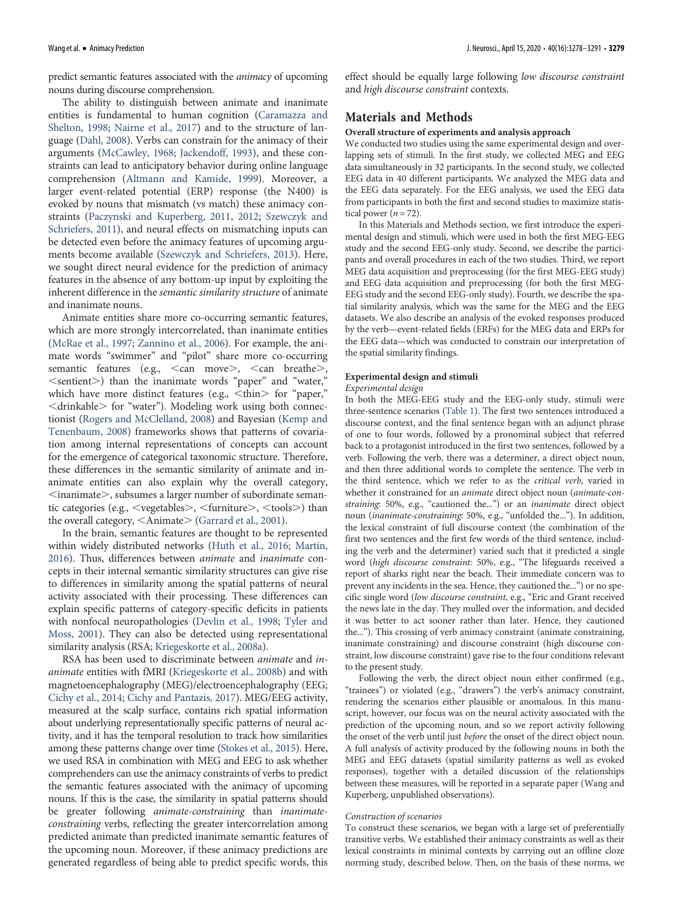predict semantic features associated with the animacy of upcoming nouns during discourse comprehension.

The ability to distinguish between animate and inanimate entities is fundamental to human cognition ([Caramazza and](#page-12-0) [Shelton, 1998;](#page-12-0) [Nairne et al., 2017](#page-13-4)) and to the structure of language [\(Dahl, 2008](#page-12-1)). Verbs can constrain for the animacy of their arguments [\(McCawley, 1968](#page-13-5); [Jackendoff, 1993\)](#page-12-2), and these constraints can lead to anticipatory behavior during online language comprehension ([Altmann and Kamide, 1999\)](#page-12-3). Moreover, a larger event-related potential (ERP) response (the N400) is evoked by nouns that mismatch (vs match) these animacy constraints ([Paczynski and Kuperberg, 2011,](#page-13-6) [2012;](#page-13-7) [Szewczyk and](#page-13-8) [Schriefers, 2011\)](#page-13-8), and neural effects on mismatching inputs can be detected even before the animacy features of upcoming arguments become available [\(Szewczyk and Schriefers, 2013\)](#page-13-9). Here, we sought direct neural evidence for the prediction of animacy features in the absence of any bottom-up input by exploiting the inherent difference in the semantic similarity structure of animate and inanimate nouns.

Animate entities share more co-occurring semantic features, which are more strongly intercorrelated, than inanimate entities [\(McRae et al., 1997;](#page-13-10) [Zannino et al., 2006](#page-13-11)). For example, the animate words "swimmer" and "pilot" share more co-occurring semantic features (e.g.,  $\le$ can move $\ge$ ,  $\le$ can breathe $\ge$ ,  $\le$ sentient $>$ ) than the inanimate words "paper" and "water," which have more distinct features (e.g.,  $\lt$ thin $>$  for "paper," <drinkable> for "water"). Modeling work using both connectionist ([Rogers and McClelland, 2008](#page-13-12)) and Bayesian [\(Kemp and](#page-12-4) [Tenenbaum, 2008\)](#page-12-4) frameworks shows that patterns of covariation among internal representations of concepts can account for the emergence of categorical taxonomic structure. Therefore, these differences in the semantic similarity of animate and inanimate entities can also explain why the overall category,  $\le$ inanimate $>$ , subsumes a larger number of subordinate semantic categories (e.g.,  $\leq$ vegetables $>$ ,  $\leq$ furniture $>$ ,  $\leq$ tools $>$ ) than the overall category,  $\le$ Animate $\ge$  ([Garrard et al., 2001\)](#page-12-5).

In the brain, semantic features are thought to be represented within widely distributed networks [\(Huth et al., 2016;](#page-12-6) [Martin,](#page-13-13) [2016\)](#page-13-13). Thus, differences between animate and inanimate concepts in their internal semantic similarity structures can give rise to differences in similarity among the spatial patterns of neural activity associated with their processing. These differences can explain specific patterns of category-specific deficits in patients with nonfocal neuropathologies [\(Devlin et al., 1998;](#page-12-7) [Tyler and](#page-13-14) [Moss, 2001\)](#page-13-14). They can also be detected using representational similarity analysis (RSA; [Kriegeskorte et al., 2008a](#page-12-8)).

RSA has been used to discriminate between animate and inanimate entities with fMRI [\(Kriegeskorte et al., 2008b\)](#page-13-15) and with magnetoencephalography (MEG)/electroencephalography (EEG; [Cichy et al., 2014](#page-12-9); [Cichy and Pantazis, 2017\)](#page-12-10). MEG/EEG activity, measured at the scalp surface, contains rich spatial information about underlying representationally specific patterns of neural activity, and it has the temporal resolution to track how similarities among these patterns change over time [\(Stokes et al., 2015](#page-13-16)). Here, we used RSA in combination with MEG and EEG to ask whether comprehenders can use the animacy constraints of verbs to predict the semantic features associated with the animacy of upcoming nouns. If this is the case, the similarity in spatial patterns should be greater following animate-constraining than inanimateconstraining verbs, reflecting the greater intercorrelation among predicted animate than predicted inanimate semantic features of the upcoming noun. Moreover, if these animacy predictions are generated regardless of being able to predict specific words, this

effect should be equally large following low discourse constraint and high discourse constraint contexts.

# Materials and Methods

#### Overall structure of experiments and analysis approach

We conducted two studies using the same experimental design and overlapping sets of stimuli. In the first study, we collected MEG and EEG data simultaneously in 32 participants. In the second study, we collected EEG data in 40 different participants. We analyzed the MEG data and the EEG data separately. For the EEG analysis, we used the EEG data from participants in both the first and second studies to maximize statistical power ( $n = 72$ ).

In this Materials and Methods section, we first introduce the experimental design and stimuli, which were used in both the first MEG-EEG study and the second EEG-only study. Second, we describe the participants and overall procedures in each of the two studies. Third, we report MEG data acquisition and preprocessing (for the first MEG-EEG study) and EEG data acquisition and preprocessing (for both the first MEG-EEG study and the second EEG-only study). Fourth, we describe the spatial similarity analysis, which was the same for the MEG and the EEG datasets. We also describe an analysis of the evoked responses produced by the verb—event-related fields (ERFs) for the MEG data and ERPs for the EEG data—which was conducted to constrain our interpretation of the spatial similarity findings.

#### Experimental design and stimuli

#### Experimental design

In both the MEG-EEG study and the EEG-only study, stimuli were three-sentence scenarios [\(Table 1](#page-2-0)). The first two sentences introduced a discourse context, and the final sentence began with an adjunct phrase of one to four words, followed by a pronominal subject that referred back to a protagonist introduced in the first two sentences, followed by a verb. Following the verb, there was a determiner, a direct object noun, and then three additional words to complete the sentence. The verb in the third sentence, which we refer to as the critical verb, varied in whether it constrained for an animate direct object noun (animate-constraining: 50%, e.g., "cautioned the...") or an inanimate direct object noun (inanimate-constraining: 50%, e.g., "unfolded the..."). In addition, the lexical constraint of full discourse context (the combination of the first two sentences and the first few words of the third sentence, including the verb and the determiner) varied such that it predicted a single word (high discourse constraint: 50%, e.g., "The lifeguards received a report of sharks right near the beach. Their immediate concern was to prevent any incidents in the sea. Hence, they cautioned the...") or no specific single word (low discourse constraint, e.g., "Eric and Grant received the news late in the day. They mulled over the information, and decided it was better to act sooner rather than later. Hence, they cautioned the..."). This crossing of verb animacy constraint (animate constraining, inanimate constraining) and discourse constraint (high discourse constraint, low discourse constraint) gave rise to the four conditions relevant to the present study.

Following the verb, the direct object noun either confirmed (e.g., "trainees") or violated (e.g., "drawers") the verb's animacy constraint, rendering the scenarios either plausible or anomalous. In this manuscript, however, our focus was on the neural activity associated with the prediction of the upcoming noun, and so we report activity following the onset of the verb until just before the onset of the direct object noun. A full analysis of activity produced by the following nouns in both the MEG and EEG datasets (spatial similarity patterns as well as evoked responses), together with a detailed discussion of the relationships between these measures, will be reported in a separate paper (Wang and Kuperberg, unpublished observations).

#### Construction of scenarios

To construct these scenarios, we began with a large set of preferentially transitive verbs. We established their animacy constraints as well as their lexical constraints in minimal contexts by carrying out an offline cloze norming study, described below. Then, on the basis of these norms, we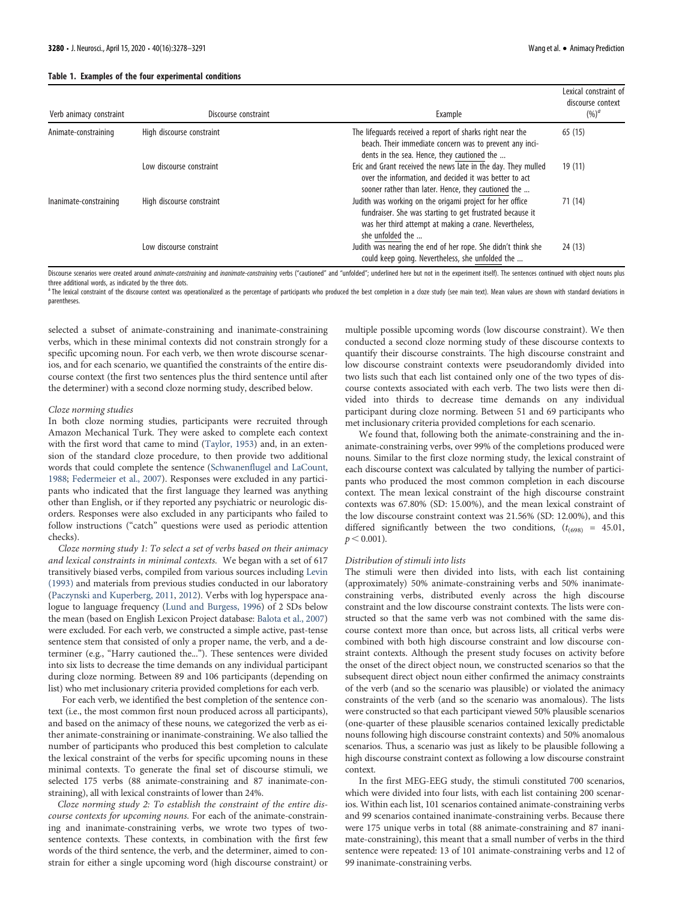Lexical constraint of

<span id="page-2-0"></span>

| Verb animacy constraint | Discourse constraint      | Example                                                                                                                                                                                             | Lexical constraint of<br>discourse context<br>$(%)^a$ |
|-------------------------|---------------------------|-----------------------------------------------------------------------------------------------------------------------------------------------------------------------------------------------------|-------------------------------------------------------|
| Animate-constraining    | High discourse constraint | The lifequards received a report of sharks right near the<br>beach. Their immediate concern was to prevent any inci-<br>dents in the sea. Hence, they cautioned the                                 | 65(15)                                                |
|                         | Low discourse constraint  | Eric and Grant received the news late in the day. They mulled<br>over the information, and decided it was better to act<br>sooner rather than later. Hence, they cautioned the                      | 19 (11)                                               |
| Inanimate-constraining  | High discourse constraint | Judith was working on the origami project for her office<br>fundraiser. She was starting to get frustrated because it<br>was her third attempt at making a crane. Nevertheless,<br>she unfolded the | 71 (14)                                               |
|                         | Low discourse constraint  | Judith was nearing the end of her rope. She didn't think she<br>could keep going. Nevertheless, she unfolded the                                                                                    | 24 (13)                                               |

Discourse scenarios were created around animate-constraining and inanimate-constraining verbs ("cautioned" and "unfolded"; underlined here but not in the experiment itself). The sentences continued with object nouns plus three additional words, as indicated by the three dots.

<sup>a</sup> The lexical constraint of the discourse context was operationalized as the percentage of participants who produced the best completion in a cloze study (see main text). Mean values are shown with standard deviations in parentheses.

selected a subset of animate-constraining and inanimate-constraining verbs, which in these minimal contexts did not constrain strongly for a specific upcoming noun. For each verb, we then wrote discourse scenarios, and for each scenario, we quantified the constraints of the entire discourse context (the first two sentences plus the third sentence until after the determiner) with a second cloze norming study, described below.

#### Cloze norming studies

In both cloze norming studies, participants were recruited through Amazon Mechanical Turk. They were asked to complete each context with the first word that came to mind [\(Taylor, 1953\)](#page-13-17) and, in an extension of the standard cloze procedure, to then provide two additional words that could complete the sentence [\(Schwanenflugel and LaCount,](#page-13-18) [1988](#page-13-18); [Federmeier et al., 2007](#page-12-11)). Responses were excluded in any participants who indicated that the first language they learned was anything other than English, or if they reported any psychiatric or neurologic disorders. Responses were also excluded in any participants who failed to follow instructions ("catch" questions were used as periodic attention checks).

Cloze norming study 1: To select a set of verbs based on their animacy and lexical constraints in minimal contexts. We began with a set of 617 transitively biased verbs, compiled from various sources including [Levin](#page-13-19) [\(1993\)](#page-13-19) and materials from previous studies conducted in our laboratory ([Paczynski and Kuperberg, 2011](#page-13-6), [2012](#page-13-7)). Verbs with log hyperspace analogue to language frequency [\(Lund and Burgess, 1996\)](#page-13-20) of 2 SDs below the mean (based on English Lexicon Project database: [Balota et al., 2007](#page-12-12)) were excluded. For each verb, we constructed a simple active, past-tense sentence stem that consisted of only a proper name, the verb, and a determiner (e.g., "Harry cautioned the..."). These sentences were divided into six lists to decrease the time demands on any individual participant during cloze norming. Between 89 and 106 participants (depending on list) who met inclusionary criteria provided completions for each verb.

For each verb, we identified the best completion of the sentence context (i.e., the most common first noun produced across all participants), and based on the animacy of these nouns, we categorized the verb as either animate-constraining or inanimate-constraining. We also tallied the number of participants who produced this best completion to calculate the lexical constraint of the verbs for specific upcoming nouns in these minimal contexts. To generate the final set of discourse stimuli, we selected 175 verbs (88 animate-constraining and 87 inanimate-constraining), all with lexical constraints of lower than 24%.

Cloze norming study 2: To establish the constraint of the entire discourse contexts for upcoming nouns. For each of the animate-constraining and inanimate-constraining verbs, we wrote two types of twosentence contexts. These contexts, in combination with the first few words of the third sentence, the verb, and the determiner, aimed to constrain for either a single upcoming word (high discourse constraint) or multiple possible upcoming words (low discourse constraint). We then conducted a second cloze norming study of these discourse contexts to quantify their discourse constraints. The high discourse constraint and low discourse constraint contexts were pseudorandomly divided into two lists such that each list contained only one of the two types of discourse contexts associated with each verb. The two lists were then divided into thirds to decrease time demands on any individual participant during cloze norming. Between 51 and 69 participants who met inclusionary criteria provided completions for each scenario.

We found that, following both the animate-constraining and the inanimate-constraining verbs, over 99% of the completions produced were nouns. Similar to the first cloze norming study, the lexical constraint of each discourse context was calculated by tallying the number of participants who produced the most common completion in each discourse context. The mean lexical constraint of the high discourse constraint contexts was 67.80% (SD: 15.00%), and the mean lexical constraint of the low discourse constraint context was 21.56% (SD: 12.00%), and this differed significantly between the two conditions,  $(t<sub>(698)</sub> = 45.01,$  $p < 0.001$ ).

#### Distribution of stimuli into lists

The stimuli were then divided into lists, with each list containing (approximately) 50% animate-constraining verbs and 50% inanimateconstraining verbs, distributed evenly across the high discourse constraint and the low discourse constraint contexts. The lists were constructed so that the same verb was not combined with the same discourse context more than once, but across lists, all critical verbs were combined with both high discourse constraint and low discourse constraint contexts. Although the present study focuses on activity before the onset of the direct object noun, we constructed scenarios so that the subsequent direct object noun either confirmed the animacy constraints of the verb (and so the scenario was plausible) or violated the animacy constraints of the verb (and so the scenario was anomalous). The lists were constructed so that each participant viewed 50% plausible scenarios (one-quarter of these plausible scenarios contained lexically predictable nouns following high discourse constraint contexts) and 50% anomalous scenarios. Thus, a scenario was just as likely to be plausible following a high discourse constraint context as following a low discourse constraint context.

In the first MEG-EEG study, the stimuli constituted 700 scenarios, which were divided into four lists, with each list containing 200 scenarios. Within each list, 101 scenarios contained animate-constraining verbs and 99 scenarios contained inanimate-constraining verbs. Because there were 175 unique verbs in total (88 animate-constraining and 87 inanimate-constraining), this meant that a small number of verbs in the third sentence were repeated: 13 of 101 animate-constraining verbs and 12 of 99 inanimate-constraining verbs.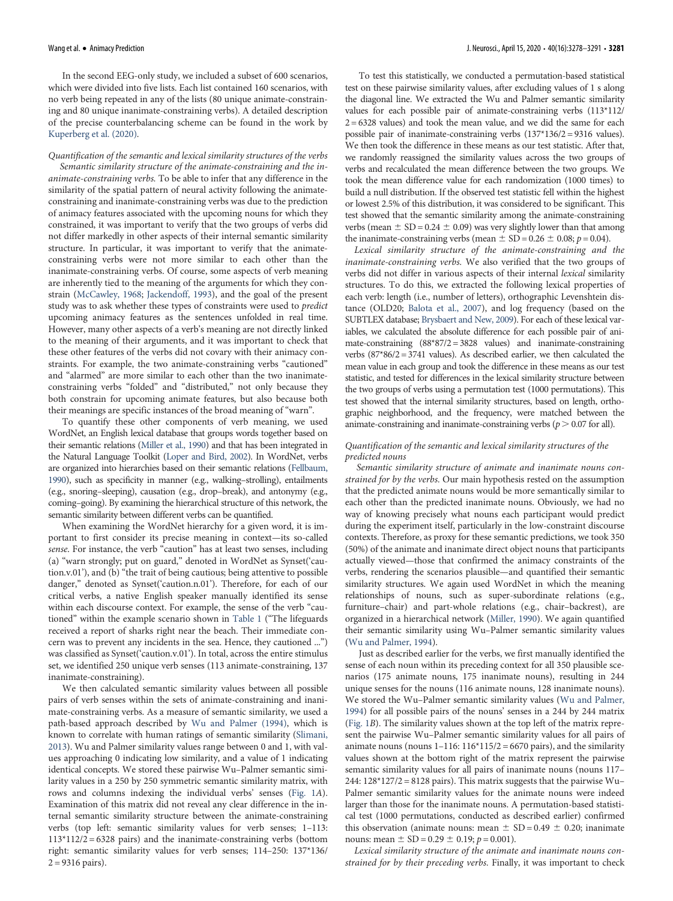In the second EEG-only study, we included a subset of 600 scenarios, which were divided into five lists. Each list contained 160 scenarios, with no verb being repeated in any of the lists (80 unique animate-constraining and 80 unique inanimate-constraining verbs). A detailed description of the precise counterbalancing scheme can be found in the work by [Kuperberg et al. \(2020\).](#page-13-21)

Quantification of the semantic and lexical similarity structures of the verbs Semantic similarity structure of the animate-constraining and the inanimate-constraining verbs. To be able to infer that any difference in the similarity of the spatial pattern of neural activity following the animateconstraining and inanimate-constraining verbs was due to the prediction of animacy features associated with the upcoming nouns for which they constrained, it was important to verify that the two groups of verbs did not differ markedly in other aspects of their internal semantic similarity structure. In particular, it was important to verify that the animateconstraining verbs were not more similar to each other than the inanimate-constraining verbs. Of course, some aspects of verb meaning are inherently tied to the meaning of the arguments for which they constrain ([McCawley, 1968;](#page-13-5) [Jackendoff, 1993](#page-12-2)), and the goal of the present study was to ask whether these types of constraints were used to predict upcoming animacy features as the sentences unfolded in real time. However, many other aspects of a verb's meaning are not directly linked to the meaning of their arguments, and it was important to check that these other features of the verbs did not covary with their animacy constraints. For example, the two animate-constraining verbs "cautioned" and "alarmed" are more similar to each other than the two inanimateconstraining verbs "folded" and "distributed," not only because they both constrain for upcoming animate features, but also because both their meanings are specific instances of the broad meaning of "warn".

To quantify these other components of verb meaning, we used WordNet, an English lexical database that groups words together based on their semantic relations ([Miller et al., 1990\)](#page-13-22) and that has been integrated in the Natural Language Toolkit ([Loper and Bird, 2002](#page-13-23)). In WordNet, verbs are organized into hierarchies based on their semantic relations [\(Fellbaum,](#page-12-13) [1990](#page-12-13)), such as specificity in manner (e.g., walking–strolling), entailments (e.g., snoring–sleeping), causation (e.g., drop–break), and antonymy (e.g., coming–going). By examining the hierarchical structure of this network, the semantic similarity between different verbs can be quantified.

When examining the WordNet hierarchy for a given word, it is important to first consider its precise meaning in context—its so-called sense. For instance, the verb "caution" has at least two senses, including (a) "warn strongly; put on guard," denoted in WordNet as Synset('caution.v.01'), and (b) "the trait of being cautious; being attentive to possible danger," denoted as Synset('caution.n.01'). Therefore, for each of our critical verbs, a native English speaker manually identified its sense within each discourse context. For example, the sense of the verb "cautioned" within the example scenario shown in [Table 1](#page-2-0) ("The lifeguards received a report of sharks right near the beach. Their immediate concern was to prevent any incidents in the sea. Hence, they cautioned ...") was classified as Synset('caution.v.01'). In total, across the entire stimulus set, we identified 250 unique verb senses (113 animate-constraining, 137 inanimate-constraining).

We then calculated semantic similarity values between all possible pairs of verb senses within the sets of animate-constraining and inanimate-constraining verbs. As a measure of semantic similarity, we used a path-based approach described by [Wu and Palmer \(1994\)](#page-13-24), which is known to correlate with human ratings of semantic similarity ([Slimani,](#page-13-25) [2013](#page-13-25)). Wu and Palmer similarity values range between 0 and 1, with values approaching 0 indicating low similarity, and a value of 1 indicating identical concepts. We stored these pairwise Wu–Palmer semantic similarity values in a 250 by 250 symmetric semantic similarity matrix, with rows and columns indexing the individual verbs' senses ([Fig. 1](#page-4-0)A). Examination of this matrix did not reveal any clear difference in the internal semantic similarity structure between the animate-constraining verbs (top left: semantic similarity values for verb senses; 1–113:  $113*112/2 = 6328$  pairs) and the inanimate-constraining verbs (bottom right: semantic similarity values for verb senses; 114–250: 137\*136/  $2 = 9316$  pairs).

To test this statistically, we conducted a permutation-based statistical test on these pairwise similarity values, after excluding values of 1 s along the diagonal line. We extracted the Wu and Palmer semantic similarity values for each possible pair of animate-constraining verbs (113\*112/  $2 = 6328$  values) and took the mean value, and we did the same for each possible pair of inanimate-constraining verbs (137\*136/2 = 9316 values). We then took the difference in these means as our test statistic. After that, we randomly reassigned the similarity values across the two groups of verbs and recalculated the mean difference between the two groups. We took the mean difference value for each randomization (1000 times) to build a null distribution. If the observed test statistic fell within the highest or lowest 2.5% of this distribution, it was considered to be significant. This test showed that the semantic similarity among the animate-constraining verbs (mean  $\pm$  SD = 0.24  $\pm$  0.09) was very slightly lower than that among the inanimate-constraining verbs (mean  $\pm$  SD = 0.26  $\pm$  0.08; p = 0.04).

Lexical similarity structure of the animate-constraining and the inanimate-constraining verbs. We also verified that the two groups of verbs did not differ in various aspects of their internal lexical similarity structures. To do this, we extracted the following lexical properties of each verb: length (i.e., number of letters), orthographic Levenshtein distance (OLD20; [Balota et al., 2007\)](#page-12-12), and log frequency (based on the SUBTLEX database; [Brysbaert and New, 2009](#page-12-14)). For each of these lexical variables, we calculated the absolute difference for each possible pair of animate-constraining (88\*87/2 = 3828 values) and inanimate-constraining verbs  $(87*86/2 = 3741$  values). As described earlier, we then calculated the mean value in each group and took the difference in these means as our test statistic, and tested for differences in the lexical similarity structure between the two groups of verbs using a permutation test (1000 permutations). This test showed that the internal similarity structures, based on length, orthographic neighborhood, and the frequency, were matched between the animate-constraining and inanimate-constraining verbs ( $p > 0.07$  for all).

#### Quantification of the semantic and lexical similarity structures of the predicted nouns

Semantic similarity structure of animate and inanimate nouns constrained for by the verbs. Our main hypothesis rested on the assumption that the predicted animate nouns would be more semantically similar to each other than the predicted inanimate nouns. Obviously, we had no way of knowing precisely what nouns each participant would predict during the experiment itself, particularly in the low-constraint discourse contexts. Therefore, as proxy for these semantic predictions, we took 350 (50%) of the animate and inanimate direct object nouns that participants actually viewed—those that confirmed the animacy constraints of the verbs, rendering the scenarios plausible—and quantified their semantic similarity structures. We again used WordNet in which the meaning relationships of nouns, such as super-subordinate relations (e.g., furniture–chair) and part-whole relations (e.g., chair–backrest), are organized in a hierarchical network [\(Miller, 1990\)](#page-13-26). We again quantified their semantic similarity using Wu–Palmer semantic similarity values ([Wu and Palmer, 1994\)](#page-13-24).

Just as described earlier for the verbs, we first manually identified the sense of each noun within its preceding context for all 350 plausible scenarios (175 animate nouns, 175 inanimate nouns), resulting in 244 unique senses for the nouns (116 animate nouns, 128 inanimate nouns). We stored the Wu–Palmer semantic similarity values ([Wu and Palmer,](#page-13-24) [1994](#page-13-24)) for all possible pairs of the nouns' senses in a 244 by 244 matrix ([Fig. 1](#page-4-0)B). The similarity values shown at the top left of the matrix represent the pairwise Wu–Palmer semantic similarity values for all pairs of animate nouns (nouns  $1-116: 116*115/2 = 6670$  pairs), and the similarity values shown at the bottom right of the matrix represent the pairwise semantic similarity values for all pairs of inanimate nouns (nouns 117– 244: 128\*127/2 = 8128 pairs). This matrix suggests that the pairwise Wu– Palmer semantic similarity values for the animate nouns were indeed larger than those for the inanimate nouns. A permutation-based statistical test (1000 permutations, conducted as described earlier) confirmed this observation (animate nouns: mean  $\pm$  SD = 0.49  $\pm$  0.20; inanimate nouns: mean  $\pm$  SD = 0.29  $\pm$  0.19;  $p = 0.001$ ).

Lexical similarity structure of the animate and inanimate nouns constrained for by their preceding verbs. Finally, it was important to check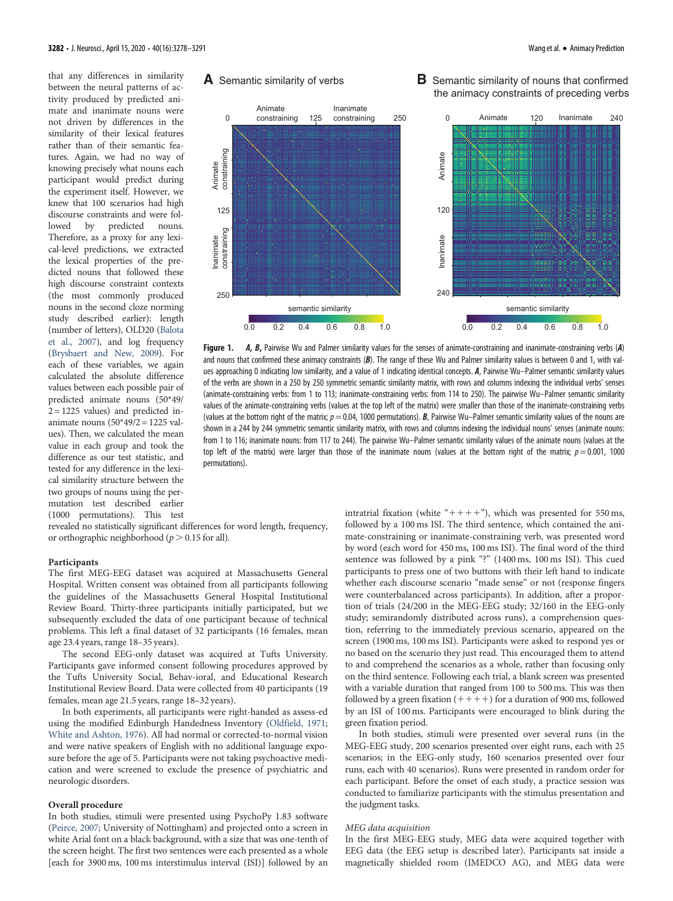that any differences in similarity between the neural patterns of activity produced by predicted animate and inanimate nouns were not driven by differences in the similarity of their lexical features rather than of their semantic features. Again, we had no way of knowing precisely what nouns each participant would predict during the experiment itself. However, we knew that 100 scenarios had high discourse constraints and were followed by predicted nouns. Therefore, as a proxy for any lexical-level predictions, we extracted the lexical properties of the predicted nouns that followed these high discourse constraint contexts (the most commonly produced nouns in the second cloze norming study described earlier): length (number of letters), OLD20 [\(Balota](#page-12-12) [et al., 2007\)](#page-12-12), and log frequency ([Brysbaert and New, 2009\)](#page-12-14). For each of these variables, we again calculated the absolute difference values between each possible pair of predicted animate nouns (50\*49/  $2 = 1225$  values) and predicted inanimate nouns (50\*49/2 = 1225 values). Then, we calculated the mean value in each group and took the difference as our test statistic, and tested for any difference in the lexical similarity structure between the two groups of nouns using the permutation test described earlier (1000 permutations). This test

**A** Semantic similarity of verbs



<span id="page-4-0"></span>Figure 1. A, B, Pairwise Wu and Palmer similarity values for the senses of animate-constraining and inanimate-constraining verbs (A) and nouns that confirmed these animacy constraints  $(B)$ . The range of these Wu and Palmer similarity values is between 0 and 1, with values approaching 0 indicating low similarity, and a value of 1 indicating identical concepts. A, Pairwise Wu–Palmer semantic similarity values of the verbs are shown in a 250 by 250 symmetric semantic similarity matrix, with rows and columns indexing the individual verbs' senses (animate-constraining verbs: from 1 to 113; inanimate-constraining verbs: from 114 to 250). The pairwise Wu–Palmer semantic similarity values of the animate-constraining verbs (values at the top left of the matrix) were smaller than those of the inanimate-constraining verbs (values at the bottom right of the matrix;  $p = 0.04$ , 1000 permutations). B, Pairwise Wu–Palmer semantic similarity values of the nouns are shown in a 244 by 244 symmetric semantic similarity matrix, with rows and columns indexing the individual nouns' senses (animate nouns: from 1 to 116; inanimate nouns: from 117 to 244). The pairwise Wu–Palmer semantic similarity values of the animate nouns (values at the top left of the matrix) were larger than those of the inanimate nouns (values at the bottom right of the matrix;  $p = 0.001$ , 1000 permutations).

revealed no statistically significant differences for word length, frequency, or orthographic neighborhood ( $p > 0.15$  for all).

#### Participants

The first MEG-EEG dataset was acquired at Massachusetts General Hospital. Written consent was obtained from all participants following the guidelines of the Massachusetts General Hospital Institutional Review Board. Thirty-three participants initially participated, but we subsequently excluded the data of one participant because of technical problems. This left a final dataset of 32 participants (16 females, mean age 23.4 years, range 18–35 years).

The second EEG-only dataset was acquired at Tufts University. Participants gave informed consent following procedures approved by the Tufts University Social, Behav-ioral, and Educational Research Institutional Review Board. Data were collected from 40 participants (19 females, mean age 21.5 years, range 18–32 years).

In both experiments, all participants were right-handed as assess-ed using the modified Edinburgh Handedness Inventory [\(Oldfield, 1971](#page-13-27); [White and Ashton, 1976](#page-13-28)). All had normal or corrected-to-normal vision and were native speakers of English with no additional language exposure before the age of 5. Participants were not taking psychoactive medication and were screened to exclude the presence of psychiatric and neurologic disorders.

## Overall procedure

In both studies, stimuli were presented using PsychoPy 1.83 software ([Peirce, 2007;](#page-13-29) University of Nottingham) and projected onto a screen in white Arial font on a black background, with a size that was one-tenth of the screen height. The first two sentences were each presented as a whole [each for 3900 ms, 100 ms interstimulus interval (ISI)] followed by an

intratrial fixation (white " $++++$ "), which was presented for 550 ms, followed by a 100 ms ISI. The third sentence, which contained the animate-constraining or inanimate-constraining verb, was presented word by word (each word for 450 ms, 100 ms ISI). The final word of the third sentence was followed by a pink "?" (1400 ms, 100 ms ISI). This cued participants to press one of two buttons with their left hand to indicate whether each discourse scenario "made sense" or not (response fingers were counterbalanced across participants). In addition, after a proportion of trials (24/200 in the MEG-EEG study; 32/160 in the EEG-only study; semirandomly distributed across runs), a comprehension question, referring to the immediately previous scenario, appeared on the screen (1900 ms, 100 ms ISI). Participants were asked to respond yes or no based on the scenario they just read. This encouraged them to attend to and comprehend the scenarios as a whole, rather than focusing only on the third sentence. Following each trial, a blank screen was presented with a variable duration that ranged from 100 to 500 ms. This was then followed by a green fixation  $(++++)$  for a duration of 900 ms, followed by an ISI of 100 ms. Participants were encouraged to blink during the green fixation period.

In both studies, stimuli were presented over several runs (in the MEG-EEG study, 200 scenarios presented over eight runs, each with 25 scenarios; in the EEG-only study, 160 scenarios presented over four runs, each with 40 scenarios). Runs were presented in random order for each participant. Before the onset of each study, a practice session was conducted to familiarize participants with the stimulus presentation and the judgment tasks.

#### MEG data acquisition

In the first MEG-EEG study, MEG data were acquired together with EEG data (the EEG setup is described later). Participants sat inside a magnetically shielded room (IMEDCO AG), and MEG data were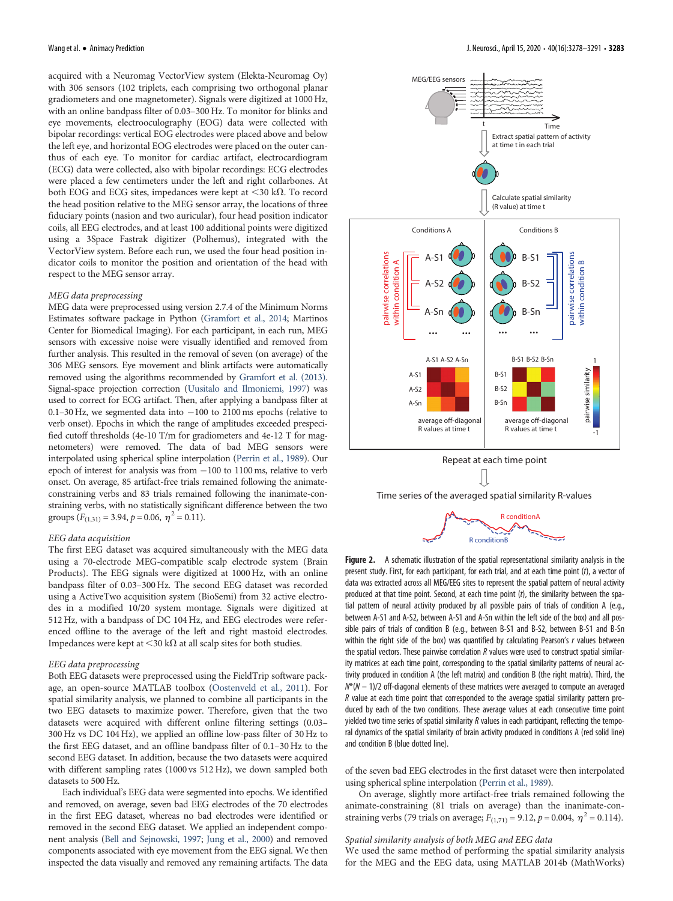acquired with a Neuromag VectorView system (Elekta-Neuromag Oy) with 306 sensors (102 triplets, each comprising two orthogonal planar gradiometers and one magnetometer). Signals were digitized at 1000 Hz, with an online bandpass filter of 0.03–300 Hz. To monitor for blinks and eye movements, electrooculography (EOG) data were collected with bipolar recordings: vertical EOG electrodes were placed above and below the left eye, and horizontal EOG electrodes were placed on the outer canthus of each eye. To monitor for cardiac artifact, electrocardiogram (ECG) data were collected, also with bipolar recordings: ECG electrodes were placed a few centimeters under the left and right collarbones. At both EOG and ECG sites, impedances were kept at  $\langle 30 \text{ k}\Omega$ . To record the head position relative to the MEG sensor array, the locations of three fiduciary points (nasion and two auricular), four head position indicator coils, all EEG electrodes, and at least 100 additional points were digitized using a 3Space Fastrak digitizer (Polhemus), integrated with the VectorView system. Before each run, we used the four head position indicator coils to monitor the position and orientation of the head with respect to the MEG sensor array.

#### MEG data preprocessing

MEG data were preprocessed using version 2.7.4 of the Minimum Norms Estimates software package in Python [\(Gramfort et al., 2014;](#page-12-15) Martinos Center for Biomedical Imaging). For each participant, in each run, MEG sensors with excessive noise were visually identified and removed from further analysis. This resulted in the removal of seven (on average) of the 306 MEG sensors. Eye movement and blink artifacts were automatically removed using the algorithms recommended by [Gramfort et al. \(2013\)](#page-12-16). Signal-space projection correction [\(Uusitalo and Ilmoniemi, 1997](#page-13-30)) was used to correct for ECG artifact. Then, after applying a bandpass filter at 0.1–30 Hz, we segmented data into  $-100$  to 2100 ms epochs (relative to verb onset). Epochs in which the range of amplitudes exceeded prespecified cutoff thresholds (4e-10 T/m for gradiometers and 4e-12 T for magnetometers) were removed. The data of bad MEG sensors were interpolated using spherical spline interpolation ([Perrin et al., 1989](#page-13-31)). Our epoch of interest for analysis was from  $-100$  to 1100 ms, relative to verb onset. On average, 85 artifact-free trials remained following the animateconstraining verbs and 83 trials remained following the inanimate-constraining verbs, with no statistically significant difference between the two groups  $(F_{(1,31)} = 3.94, p = 0.06, \eta^2 = 0.11).$ 

#### EEG data acquisition

The first EEG dataset was acquired simultaneously with the MEG data using a 70-electrode MEG-compatible scalp electrode system (Brain Products). The EEG signals were digitized at 1000 Hz, with an online bandpass filter of 0.03–300 Hz. The second EEG dataset was recorded using a ActiveTwo acquisition system (BioSemi) from 32 active electrodes in a modified 10/20 system montage. Signals were digitized at 512 Hz, with a bandpass of DC 104 Hz, and EEG electrodes were referenced offline to the average of the left and right mastoid electrodes. Impedances were kept at <30 k $\Omega$  at all scalp sites for both studies.

#### EEG data preprocessing

Both EEG datasets were preprocessed using the FieldTrip software package, an open-source MATLAB toolbox ([Oostenveld et al., 2011\)](#page-13-32). For spatial similarity analysis, we planned to combine all participants in the two EEG datasets to maximize power. Therefore, given that the two datasets were acquired with different online filtering settings (0.03– 300 Hz vs DC 104 Hz), we applied an offline low-pass filter of 30 Hz to the first EEG dataset, and an offline bandpass filter of 0.1–30 Hz to the second EEG dataset. In addition, because the two datasets were acquired with different sampling rates (1000 vs 512 Hz), we down sampled both datasets to 500 Hz.

Each individual's EEG data were segmented into epochs. We identified and removed, on average, seven bad EEG electrodes of the 70 electrodes in the first EEG dataset, whereas no bad electrodes were identified or removed in the second EEG dataset. We applied an independent component analysis [\(Bell and Sejnowski, 1997;](#page-12-17) [Jung et al., 2000\)](#page-12-18) and removed components associated with eye movement from the EEG signal. We then inspected the data visually and removed any remaining artifacts. The data



Time series of the averaged spatial similarity R-values



<span id="page-5-0"></span>Figure 2. A schematic illustration of the spatial representational similarity analysis in the present study. First, for each participant, for each trial, and at each time point (t), a vector of data was extracted across all MEG/EEG sites to represent the spatial pattern of neural activity produced at that time point. Second, at each time point  $(t)$ , the similarity between the spatial pattern of neural activity produced by all possible pairs of trials of condition A (e.g., between A-S1 and A-S2, between A-S1 and A-Sn within the left side of the box) and all possible pairs of trials of condition B (e.g., between B-S1 and B-S2, between B-S1 and B-Sn within the right side of the box) was quantified by calculating Pearson's  $r$  values between the spatial vectors. These pairwise correlation  $R$  values were used to construct spatial similarity matrices at each time point, corresponding to the spatial similarity patterns of neural activity produced in condition A (the left matrix) and condition B (the right matrix). Third, the  $N^*(N-1)/2$  off-diagonal elements of these matrices were averaged to compute an averaged R value at each time point that corresponded to the average spatial similarity pattern produced by each of the two conditions. These average values at each consecutive time point yielded two time series of spatial similarity R values in each participant, reflecting the temporal dynamics of the spatial similarity of brain activity produced in conditions A (red solid line) and condition B (blue dotted line).

of the seven bad EEG electrodes in the first dataset were then interpolated using spherical spline interpolation [\(Perrin et al., 1989](#page-13-31)).

On average, slightly more artifact-free trials remained following the animate-constraining (81 trials on average) than the inanimate-constraining verbs (79 trials on average;  $F_{(1,71)} = 9.12$ ,  $p = 0.004$ ,  $\eta^2 = 0.114$ ).

#### Spatial similarity analysis of both MEG and EEG data

We used the same method of performing the spatial similarity analysis for the MEG and the EEG data, using MATLAB 2014b (MathWorks)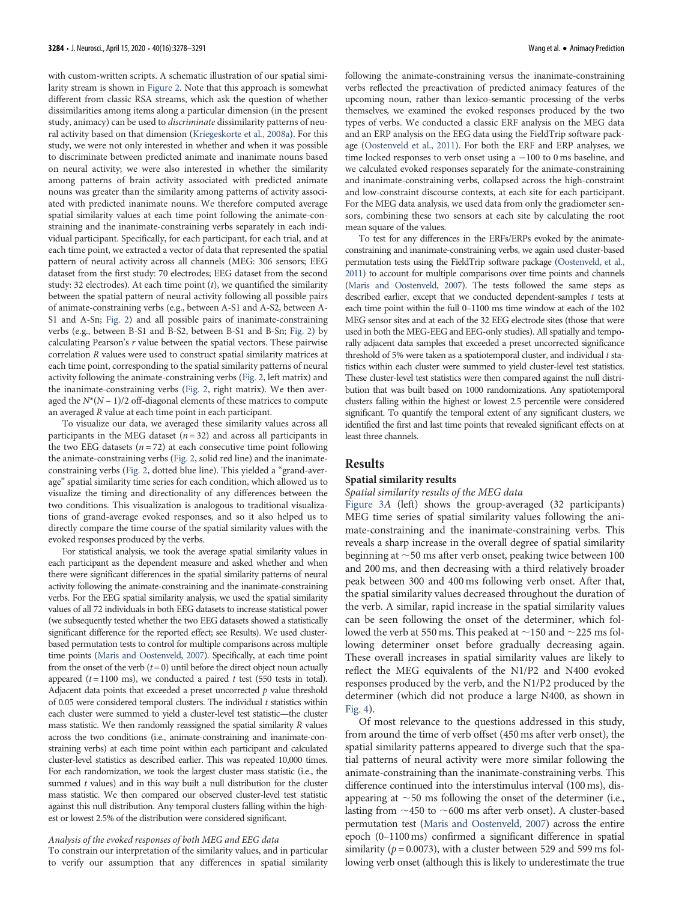with custom-written scripts. A schematic illustration of our spatial similarity stream is shown in [Figure 2](#page-5-0). Note that this approach is somewhat different from classic RSA streams, which ask the question of whether dissimilarities among items along a particular dimension (in the present study, animacy) can be used to discriminate dissimilarity patterns of neural activity based on that dimension ([Kriegeskorte et al., 2008a\)](#page-12-8). For this study, we were not only interested in whether and when it was possible to discriminate between predicted animate and inanimate nouns based on neural activity; we were also interested in whether the similarity among patterns of brain activity associated with predicted animate nouns was greater than the similarity among patterns of activity associated with predicted inanimate nouns. We therefore computed average spatial similarity values at each time point following the animate-constraining and the inanimate-constraining verbs separately in each individual participant. Specifically, for each participant, for each trial, and at each time point, we extracted a vector of data that represented the spatial pattern of neural activity across all channels (MEG: 306 sensors; EEG dataset from the first study: 70 electrodes; EEG dataset from the second study: 32 electrodes). At each time point  $(t)$ , we quantified the similarity between the spatial pattern of neural activity following all possible pairs of animate-constraining verbs (e.g., between A-S1 and A-S2, between A-S1 and A-Sn; [Fig. 2](#page-5-0)) and all possible pairs of inanimate-constraining verbs (e.g., between B-S1 and B-S2, between B-S1 and B-Sn; [Fig. 2](#page-5-0)) by calculating Pearson's r value between the spatial vectors. These pairwise correlation R values were used to construct spatial similarity matrices at each time point, corresponding to the spatial similarity patterns of neural activity following the animate-constraining verbs ([Fig. 2,](#page-5-0) left matrix) and the inanimate-constraining verbs [\(Fig. 2,](#page-5-0) right matrix). We then averaged the  $N^*(N - 1)/2$  off-diagonal elements of these matrices to compute an averaged R value at each time point in each participant.

To visualize our data, we averaged these similarity values across all participants in the MEG dataset ( $n = 32$ ) and across all participants in the two EEG datasets  $(n = 72)$  at each consecutive time point following the animate-constraining verbs ([Fig. 2](#page-5-0), solid red line) and the inanimateconstraining verbs [\(Fig. 2](#page-5-0), dotted blue line). This yielded a "grand-average" spatial similarity time series for each condition, which allowed us to visualize the timing and directionality of any differences between the two conditions. This visualization is analogous to traditional visualizations of grand-average evoked responses, and so it also helped us to directly compare the time course of the spatial similarity values with the evoked responses produced by the verbs.

For statistical analysis, we took the average spatial similarity values in each participant as the dependent measure and asked whether and when there were significant differences in the spatial similarity patterns of neural activity following the animate-constraining and the inanimate-constraining verbs. For the EEG spatial similarity analysis, we used the spatial similarity values of all 72 individuals in both EEG datasets to increase statistical power (we subsequently tested whether the two EEG datasets showed a statistically significant difference for the reported effect; see Results). We used clusterbased permutation tests to control for multiple comparisons across multiple time points ([Maris and Oostenveld, 2007](#page-13-33)). Specifically, at each time point from the onset of the verb  $(t = 0)$  until before the direct object noun actually appeared ( $t = 1100$  ms), we conducted a paired  $t$  test (550 tests in total). Adjacent data points that exceeded a preset uncorrected  $p$  value threshold of 0.05 were considered temporal clusters. The individual  $t$  statistics within each cluster were summed to yield a cluster-level test statistic—the cluster mass statistic. We then randomly reassigned the spatial similarity R values across the two conditions (i.e., animate-constraining and inanimate-constraining verbs) at each time point within each participant and calculated cluster-level statistics as described earlier. This was repeated 10,000 times. For each randomization, we took the largest cluster mass statistic (i.e., the summed  $t$  values) and in this way built a null distribution for the cluster mass statistic. We then compared our observed cluster-level test statistic against this null distribution. Any temporal clusters falling within the highest or lowest 2.5% of the distribution were considered significant.

#### Analysis of the evoked responses of both MEG and EEG data

To constrain our interpretation of the similarity values, and in particular to verify our assumption that any differences in spatial similarity following the animate-constraining versus the inanimate-constraining verbs reflected the preactivation of predicted animacy features of the upcoming noun, rather than lexico-semantic processing of the verbs themselves, we examined the evoked responses produced by the two types of verbs. We conducted a classic ERF analysis on the MEG data and an ERP analysis on the EEG data using the FieldTrip software package [\(Oostenveld et al., 2011\)](#page-13-32). For both the ERF and ERP analyses, we time locked responses to verb onset using  $a - 100$  to 0 ms baseline, and we calculated evoked responses separately for the animate-constraining and inanimate-constraining verbs, collapsed across the high-constraint and low-constraint discourse contexts, at each site for each participant. For the MEG data analysis, we used data from only the gradiometer sensors, combining these two sensors at each site by calculating the root mean square of the values.

To test for any differences in the ERFs/ERPs evoked by the animateconstraining and inanimate-constraining verbs, we again used cluster-based permutation tests using the FieldTrip software package [\(Oostenveld, et al.,](#page-13-32) [2011](#page-13-32)) to account for multiple comparisons over time points and channels ([Maris and Oostenveld, 2007\)](#page-13-33). The tests followed the same steps as described earlier, except that we conducted dependent-samples  $t$  tests at each time point within the full 0–1100 ms time window at each of the 102 MEG sensor sites and at each of the 32 EEG electrode sites (those that were used in both the MEG-EEG and EEG-only studies). All spatially and temporally adjacent data samples that exceeded a preset uncorrected significance threshold of 5% were taken as a spatiotemporal cluster, and individual  $t$  statistics within each cluster were summed to yield cluster-level test statistics. These cluster-level test statistics were then compared against the null distribution that was built based on 1000 randomizations. Any spatiotemporal clusters falling within the highest or lowest 2.5 percentile were considered significant. To quantify the temporal extent of any significant clusters, we identified the first and last time points that revealed significant effects on at least three channels.

## Results

#### Spatial similarity results

## Spatial similarity results of the MEG data

[Figure 3](#page-7-0)A (left) shows the group-averaged (32 participants) MEG time series of spatial similarity values following the animate-constraining and the inanimate-constraining verbs. This reveals a sharp increase in the overall degree of spatial similarity beginning at  $\sim$  50 ms after verb onset, peaking twice between 100 and 200 ms, and then decreasing with a third relatively broader peak between 300 and 400 ms following verb onset. After that, the spatial similarity values decreased throughout the duration of the verb. A similar, rapid increase in the spatial similarity values can be seen following the onset of the determiner, which followed the verb at 550 ms. This peaked at  $\sim$ 150 and  $\sim$ 225 ms following determiner onset before gradually decreasing again. These overall increases in spatial similarity values are likely to reflect the MEG equivalents of the N1/P2 and N400 evoked responses produced by the verb, and the N1/P2 produced by the determiner (which did not produce a large N400, as shown in [Fig. 4\)](#page-8-0).

Of most relevance to the questions addressed in this study, from around the time of verb offset (450 ms after verb onset), the spatial similarity patterns appeared to diverge such that the spatial patterns of neural activity were more similar following the animate-constraining than the inanimate-constraining verbs. This difference continued into the interstimulus interval (100 ms), disappearing at  $\sim$  50 ms following the onset of the determiner (i.e., lasting from  $\sim$ 450 to  $\sim$ 600 ms after verb onset). A cluster-based permutation test [\(Maris and Oostenveld, 2007\)](#page-13-33) across the entire epoch (0–1100 ms) confirmed a significant difference in spatial similarity ( $p = 0.0073$ ), with a cluster between 529 and 599 ms following verb onset (although this is likely to underestimate the true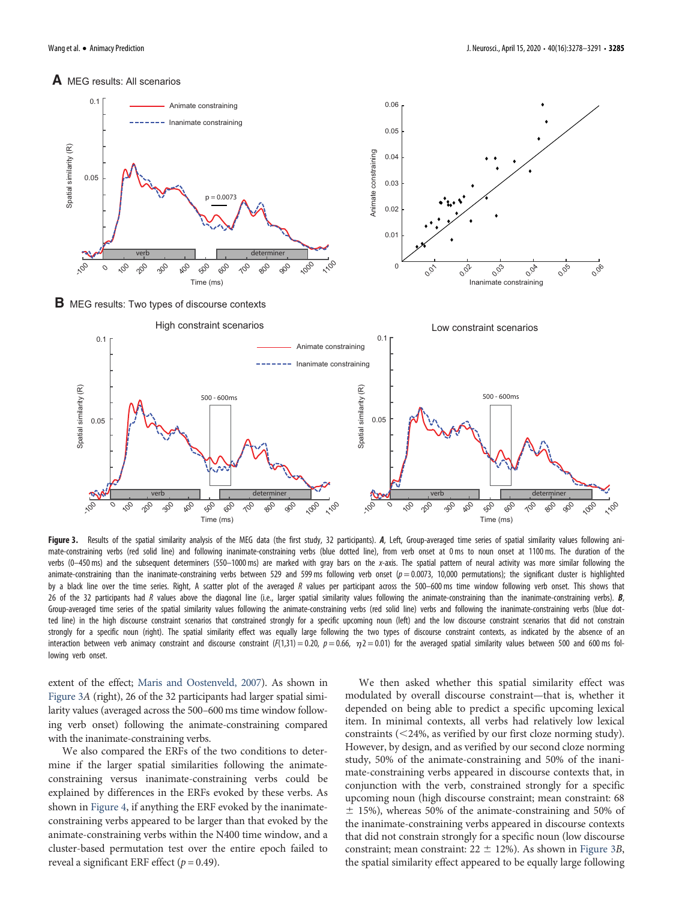## **A** MEG results: All scenarios



**B** MEG results: Two types of discourse contexts



<span id="page-7-0"></span>Figure 3. Results of the spatial similarity analysis of the MEG data (the first study, 32 participants). A, Left, Group-averaged time series of spatial similarity values following animate-constraining verbs (red solid line) and following inanimate-constraining verbs (blue dotted line), from verb onset at 0 ms to noun onset at 1100ms. The duration of the verbs (0-450 ms) and the subsequent determiners (550-1000 ms) are marked with gray bars on the x-axis. The spatial pattern of neural activity was more similar following the animate-constraining than the inanimate-constraining verbs between 529 and 599 ms following verb onset  $(p = 0.0073, 10,000$  permutations); the significant cluster is highlighted by a black line over the time series. Right, A scatter plot of the averaged R values per participant across the 500–600 ms time window following verb onset. This shows that 26 of the 32 participants had R values above the diagonal line (i.e., larger spatial similarity values following the animate-constraining than the inanimate-constraining verbs).  $B$ , Group-averaged time series of the spatial similarity values following the animate-constraining verbs (red solid line) verbs and following the inanimate-constraining verbs (blue dotted line) in the high discourse constraint scenarios that constrained strongly for a specific upcoming noun (left) and the low discourse constraint scenarios that did not constrain strongly for a specific noun (right). The spatial similarity effect was equally large following the two types of discourse constraint contexts, as indicated by the absence of an interaction between verb animacy constraint and discourse constraint (F(1,31) = 0.20,  $p = 0.66$ ,  $\eta$ 2 = 0.01) for the averaged spatial similarity values between 500 and 600 ms following verb onset.

extent of the effect; [Maris and Oostenveld, 2007](#page-13-33)). As shown in [Figure 3](#page-7-0)A (right), 26 of the 32 participants had larger spatial similarity values (averaged across the 500–600 ms time window following verb onset) following the animate-constraining compared with the inanimate-constraining verbs.

We also compared the ERFs of the two conditions to determine if the larger spatial similarities following the animateconstraining versus inanimate-constraining verbs could be explained by differences in the ERFs evoked by these verbs. As shown in [Figure 4,](#page-8-0) if anything the ERF evoked by the inanimateconstraining verbs appeared to be larger than that evoked by the animate-constraining verbs within the N400 time window, and a cluster-based permutation test over the entire epoch failed to reveal a significant ERF effect ( $p = 0.49$ ).

We then asked whether this spatial similarity effect was modulated by overall discourse constraint—that is, whether it depended on being able to predict a specific upcoming lexical item. In minimal contexts, all verbs had relatively low lexical constraints  $\left( \langle 24\%, \text{ as verified by our first close norming study} \right)$ . However, by design, and as verified by our second cloze norming study, 50% of the animate-constraining and 50% of the inanimate-constraining verbs appeared in discourse contexts that, in conjunction with the verb, constrained strongly for a specific upcoming noun (high discourse constraint; mean constraint: 68  $\pm$  15%), whereas 50% of the animate-constraining and 50% of the inanimate-constraining verbs appeared in discourse contexts that did not constrain strongly for a specific noun (low discourse constraint; mean constraint:  $22 \pm 12\%$ ). As shown in [Figure 3](#page-7-0)B, the spatial similarity effect appeared to be equally large following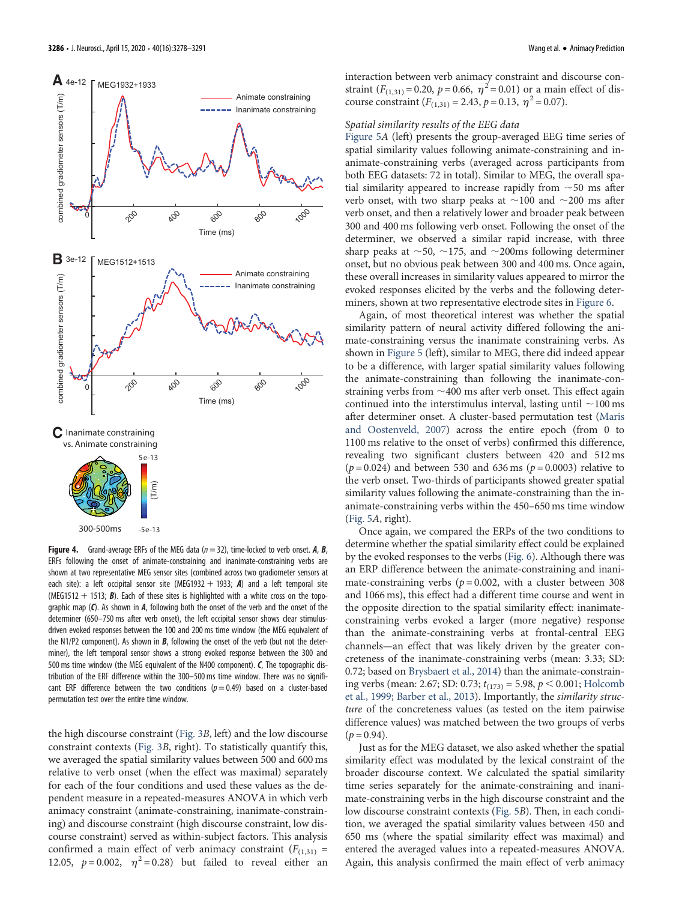

<span id="page-8-0"></span>Figure 4. Grand-average ERFs of the MEG data ( $n = 32$ ), time-locked to verb onset. A, B, ERFs following the onset of animate-constraining and inanimate-constraining verbs are shown at two representative MEG sensor sites (combined across two gradiometer sensors at each site): a left occipital sensor site (MEG1932 + 1933; A) and a left temporal site (MEG1512 + 1513;  $B$ ). Each of these sites is highlighted with a white cross on the topographic map  $(C)$ . As shown in  $A$ , following both the onset of the verb and the onset of the determiner (650–750 ms after verb onset), the left occipital sensor shows clear stimulusdriven evoked responses between the 100 and 200 ms time window (the MEG equivalent of the N1/P2 component). As shown in  $B$ , following the onset of the verb (but not the determiner), the left temporal sensor shows a strong evoked response between the 300 and 500 ms time window (the MEG equivalent of the N400 component). C, The topographic distribution of the ERF difference within the 300–500 ms time window. There was no significant ERF difference between the two conditions ( $p = 0.49$ ) based on a cluster-based permutation test over the entire time window.

the high discourse constraint ([Fig. 3](#page-7-0)B, left) and the low discourse constraint contexts [\(Fig. 3](#page-7-0)B, right). To statistically quantify this, we averaged the spatial similarity values between 500 and 600 ms relative to verb onset (when the effect was maximal) separately for each of the four conditions and used these values as the dependent measure in a repeated-measures ANOVA in which verb animacy constraint (animate-constraining, inanimate-constraining) and discourse constraint (high discourse constraint, low discourse constraint) served as within-subject factors. This analysis confirmed a main effect of verb animacy constraint  $(F_{(1,31)} =$ 12.05,  $p = 0.002$ ,  $\eta^2 = 0.28$ ) but failed to reveal either an

interaction between verb animacy constraint and discourse constraint  $(F_{(1,31)} = 0.20, p = 0.66, \eta^2 = 0.01)$  or a main effect of discourse constraint  $(F_{(1,31)} = 2.43, p = 0.13, \eta^2 = 0.07)$ .

# Spatial similarity results of the EEG data

[Figure 5](#page-9-0)A (left) presents the group-averaged EEG time series of spatial similarity values following animate-constraining and inanimate-constraining verbs (averaged across participants from both EEG datasets: 72 in total). Similar to MEG, the overall spatial similarity appeared to increase rapidly from  $\sim$  50 ms after verb onset, with two sharp peaks at  $\sim$ 100 and  $\sim$ 200 ms after verb onset, and then a relatively lower and broader peak between 300 and 400 ms following verb onset. Following the onset of the determiner, we observed a similar rapid increase, with three sharp peaks at  $\sim$  50,  $\sim$  175, and  $\sim$  200ms following determiner onset, but no obvious peak between 300 and 400 ms. Once again, these overall increases in similarity values appeared to mirror the evoked responses elicited by the verbs and the following determiners, shown at two representative electrode sites in [Figure 6.](#page-10-0)

Again, of most theoretical interest was whether the spatial similarity pattern of neural activity differed following the animate-constraining versus the inanimate constraining verbs. As shown in [Figure 5](#page-9-0) (left), similar to MEG, there did indeed appear to be a difference, with larger spatial similarity values following the animate-constraining than following the inanimate-constraining verbs from  $\sim$  400 ms after verb onset. This effect again continued into the interstimulus interval, lasting until  $\sim$ 100 ms after determiner onset. A cluster-based permutation test [\(Maris](#page-13-33) [and Oostenveld, 2007\)](#page-13-33) across the entire epoch (from 0 to 1100 ms relative to the onset of verbs) confirmed this difference, revealing two significant clusters between 420 and 512 ms ( $p = 0.024$ ) and between 530 and 636 ms ( $p = 0.0003$ ) relative to the verb onset. Two-thirds of participants showed greater spatial similarity values following the animate-constraining than the inanimate-constraining verbs within the 450–650 ms time window [\(Fig. 5](#page-9-0)A, right).

Once again, we compared the ERPs of the two conditions to determine whether the spatial similarity effect could be explained by the evoked responses to the verbs ([Fig. 6](#page-10-0)). Although there was an ERP difference between the animate-constraining and inanimate-constraining verbs ( $p = 0.002$ , with a cluster between 308 and 1066 ms), this effect had a different time course and went in the opposite direction to the spatial similarity effect: inanimateconstraining verbs evoked a larger (more negative) response than the animate-constraining verbs at frontal-central EEG channels—an effect that was likely driven by the greater concreteness of the inanimate-constraining verbs (mean: 3.33; SD: 0.72; based on [Brysbaert et al., 2014\)](#page-12-19) than the animate-constraining verbs (mean: 2.67; SD: 0.73;  $t_{(173)} = 5.98$ ,  $p < 0.001$ ; [Holcomb](#page-12-20) [et al., 1999](#page-12-20); [Barber et al., 2013\)](#page-12-21). Importantly, the similarity structure of the concreteness values (as tested on the item pairwise difference values) was matched between the two groups of verbs  $(p = 0.94)$ .

Just as for the MEG dataset, we also asked whether the spatial similarity effect was modulated by the lexical constraint of the broader discourse context. We calculated the spatial similarity time series separately for the animate-constraining and inanimate-constraining verbs in the high discourse constraint and the low discourse constraint contexts ([Fig. 5](#page-9-0)B). Then, in each condition, we averaged the spatial similarity values between 450 and 650 ms (where the spatial similarity effect was maximal) and entered the averaged values into a repeated-measures ANOVA. Again, this analysis confirmed the main effect of verb animacy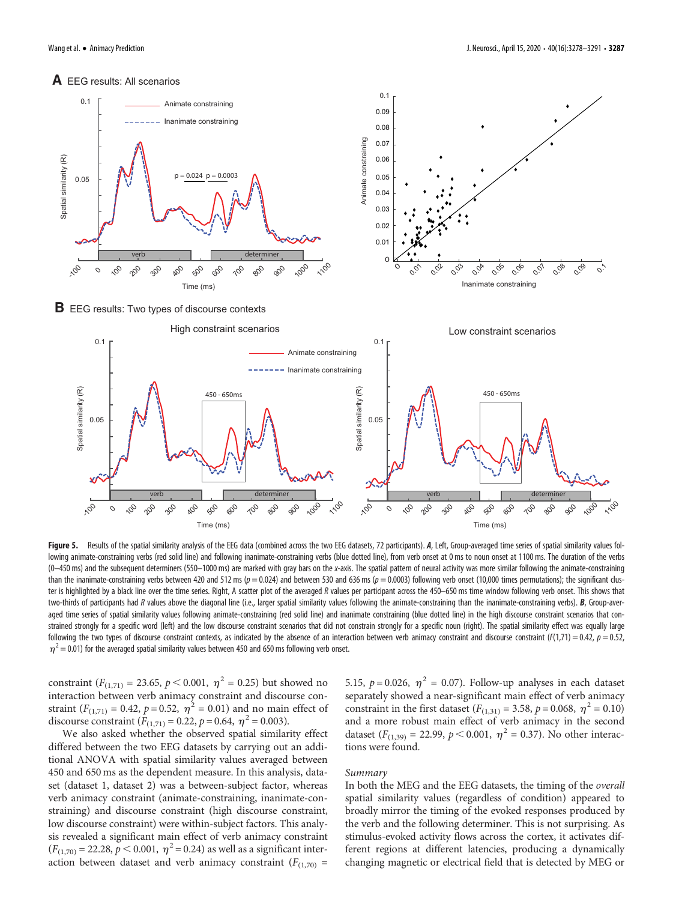# **A** EEG results: All scenarios



**B** EEG results: Two types of discourse contexts



<span id="page-9-0"></span>Figure 5. Results of the spatial similarity analysis of the EEG data (combined across the two EEG datasets, 72 participants). A, Left, Group-averaged time series of spatial similarity values following animate-constraining verbs (red solid line) and following inanimate-constraining verbs (blue dotted line), from verb onset at 0 ms to noun onset at 1100 ms. The duration of the verbs (0–450 ms) and the subsequent determiners (550–1000 ms) are marked with gray bars on the x-axis. The spatial pattern of neural activity was more similar following the animate-constraining than the inanimate-constraining verbs between 420 and 512 ms ( $p = 0.024$ ) and between 530 and 636 ms ( $p = 0.0003$ ) following verb onset (10,000 times permutations); the significant cluster is highlighted by a black line over the time series. Right, A scatter plot of the averaged R values per participant across the 450–650 ms time window following verb onset. This shows that two-thirds of participants had R values above the diagonal line (i.e., larger spatial similarity values following the animate-constraining than the inanimate-constraining verbs).  $B$ , Group-averaged time series of spatial similarity values following animate-constraining (red solid line) and inanimate constraining (blue dotted line) in the high discourse constraint scenarios that constrained strongly for a specific word (left) and the low discourse constraint scenarios that did not constrain strongly for a specific noun (right). The spatial similarity effect was equally large following the two types of discourse constraint contexts, as indicated by the absence of an interaction between verb animacy constraint and discourse constraint ( $F(1,71) = 0.42$ ,  $p = 0.52$ ,  $\eta^2$  = 0.01) for the averaged spatial similarity values between 450 and 650 ms following verb onset.

constraint ( $F_{(1,71)} = 23.65$ ,  $p < 0.001$ ,  $\eta^2 = 0.25$ ) but showed no interaction between verb animacy constraint and discourse constraint ( $F_{(1,71)} = 0.42$ ,  $p = 0.52$ ,  $\eta^2 = 0.01$ ) and no main effect of discourse constraint  $(F_{(1,71)} = 0.22, p = 0.64, \eta^2 = 0.003)$ .

We also asked whether the observed spatial similarity effect differed between the two EEG datasets by carrying out an additional ANOVA with spatial similarity values averaged between 450 and 650 ms as the dependent measure. In this analysis, dataset (dataset 1, dataset 2) was a between-subject factor, whereas verb animacy constraint (animate-constraining, inanimate-constraining) and discourse constraint (high discourse constraint, low discourse constraint) were within-subject factors. This analysis revealed a significant main effect of verb animacy constraint  $(F_{(1,70)} = 22.28, p < 0.001, \eta^2 = 0.24)$  as well as a significant interaction between dataset and verb animacy constraint  $(F_{(1,70)} =$  5.15,  $p = 0.026$ ,  $\eta^2 = 0.07$ ). Follow-up analyses in each dataset separately showed a near-significant main effect of verb animacy constraint in the first dataset ( $F_{(1,31)} = 3.58$ ,  $p = 0.068$ ,  $\eta^2 = 0.10$ ) and a more robust main effect of verb animacy in the second dataset ( $F_{(1,39)} = 22.99$ ,  $p < 0.001$ ,  $\eta^2 = 0.37$ ). No other interactions were found.

# Summary

In both the MEG and the EEG datasets, the timing of the overall spatial similarity values (regardless of condition) appeared to broadly mirror the timing of the evoked responses produced by the verb and the following determiner. This is not surprising. As stimulus-evoked activity flows across the cortex, it activates different regions at different latencies, producing a dynamically changing magnetic or electrical field that is detected by MEG or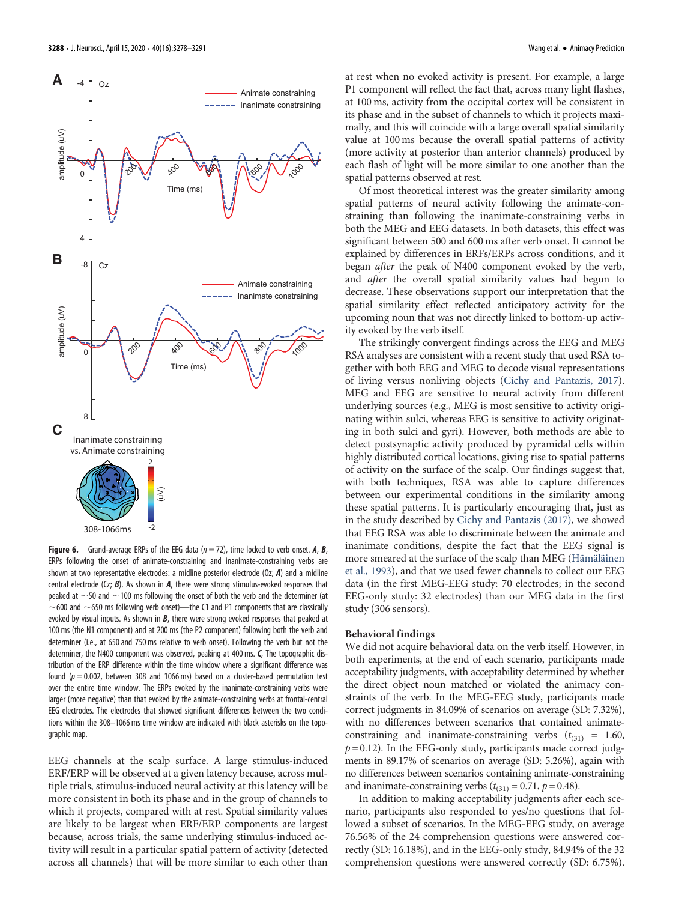

<span id="page-10-0"></span>**Figure 6.** Grand-average ERPs of the EEG data  $(n = 72)$ , time locked to verb onset. A, B, ERPs following the onset of animate-constraining and inanimate-constraining verbs are shown at two representative electrodes: a midline posterior electrode (Oz;  $A$ ) and a midline central electrode ( $Cz$ ; **B**). As shown in **A**, there were strong stimulus-evoked responses that peaked at  $\sim$  50 and  $\sim$  100 ms following the onset of both the verb and the determiner (at  $\sim$  600 and  $\sim$  650 ms following verb onset)—the C1 and P1 components that are classically evoked by visual inputs. As shown in  $B$ , there were strong evoked responses that peaked at 100 ms (the N1 component) and at 200 ms (the P2 component) following both the verb and determiner (i.e., at 650 and 750 ms relative to verb onset). Following the verb but not the determiner, the N400 component was observed, peaking at 400 ms. C, The topographic distribution of the ERP difference within the time window where a significant difference was found ( $p = 0.002$ , between 308 and 1066 ms) based on a cluster-based permutation test over the entire time window. The ERPs evoked by the inanimate-constraining verbs were larger (more negative) than that evoked by the animate-constraining verbs at frontal-central EEG electrodes. The electrodes that showed significant differences between the two conditions within the 308–1066 ms time window are indicated with black asterisks on the topographic map.

EEG channels at the scalp surface. A large stimulus-induced ERF/ERP will be observed at a given latency because, across multiple trials, stimulus-induced neural activity at this latency will be more consistent in both its phase and in the group of channels to which it projects, compared with at rest. Spatial similarity values are likely to be largest when ERF/ERP components are largest because, across trials, the same underlying stimulus-induced activity will result in a particular spatial pattern of activity (detected across all channels) that will be more similar to each other than

at rest when no evoked activity is present. For example, a large P1 component will reflect the fact that, across many light flashes, at 100 ms, activity from the occipital cortex will be consistent in its phase and in the subset of channels to which it projects maximally, and this will coincide with a large overall spatial similarity value at 100 ms because the overall spatial patterns of activity (more activity at posterior than anterior channels) produced by each flash of light will be more similar to one another than the spatial patterns observed at rest.

Of most theoretical interest was the greater similarity among spatial patterns of neural activity following the animate-constraining than following the inanimate-constraining verbs in both the MEG and EEG datasets. In both datasets, this effect was significant between 500 and 600 ms after verb onset. It cannot be explained by differences in ERFs/ERPs across conditions, and it began after the peak of N400 component evoked by the verb, and after the overall spatial similarity values had begun to decrease. These observations support our interpretation that the spatial similarity effect reflected anticipatory activity for the upcoming noun that was not directly linked to bottom-up activity evoked by the verb itself.

The strikingly convergent findings across the EEG and MEG RSA analyses are consistent with a recent study that used RSA together with both EEG and MEG to decode visual representations of living versus nonliving objects [\(Cichy and Pantazis, 2017\)](#page-12-10). MEG and EEG are sensitive to neural activity from different underlying sources (e.g., MEG is most sensitive to activity originating within sulci, whereas EEG is sensitive to activity originating in both sulci and gyri). However, both methods are able to detect postsynaptic activity produced by pyramidal cells within highly distributed cortical locations, giving rise to spatial patterns of activity on the surface of the scalp. Our findings suggest that, with both techniques, RSA was able to capture differences between our experimental conditions in the similarity among these spatial patterns. It is particularly encouraging that, just as in the study described by [Cichy and Pantazis \(2017\),](#page-12-10) we showed that EEG RSA was able to discriminate between the animate and inanimate conditions, despite the fact that the EEG signal is more smeared at the surface of the scalp than MEG ([Hämäläinen](#page-12-22) [et al., 1993](#page-12-22)), and that we used fewer channels to collect our EEG data (in the first MEG-EEG study: 70 electrodes; in the second EEG-only study: 32 electrodes) than our MEG data in the first study (306 sensors).

## Behavioral findings

We did not acquire behavioral data on the verb itself. However, in both experiments, at the end of each scenario, participants made acceptability judgments, with acceptability determined by whether the direct object noun matched or violated the animacy constraints of the verb. In the MEG-EEG study, participants made correct judgments in 84.09% of scenarios on average (SD: 7.32%), with no differences between scenarios that contained animateconstraining and inanimate-constraining verbs  $(t_{(31)} = 1.60,$  $p = 0.12$ ). In the EEG-only study, participants made correct judgments in 89.17% of scenarios on average (SD: 5.26%), again with no differences between scenarios containing animate-constraining and inanimate-constraining verbs  $(t<sub>(31)</sub> = 0.71, p = 0.48)$ .

In addition to making acceptability judgments after each scenario, participants also responded to yes/no questions that followed a subset of scenarios. In the MEG-EEG study, on average 76.56% of the 24 comprehension questions were answered correctly (SD: 16.18%), and in the EEG-only study, 84.94% of the 32 comprehension questions were answered correctly (SD: 6.75%).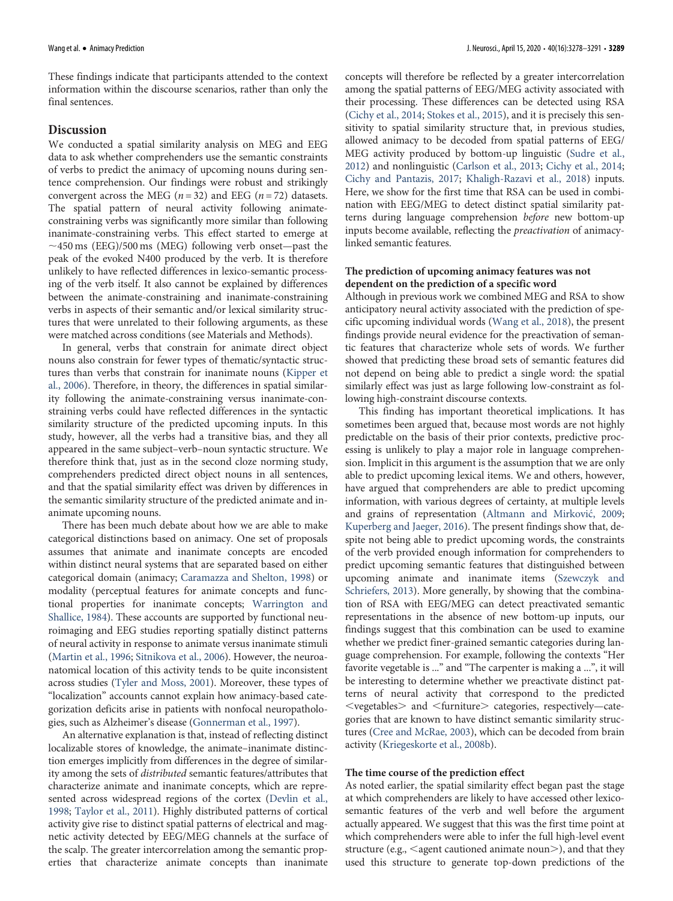These findings indicate that participants attended to the context information within the discourse scenarios, rather than only the final sentences.

# Discussion

We conducted a spatial similarity analysis on MEG and EEG data to ask whether comprehenders use the semantic constraints of verbs to predict the animacy of upcoming nouns during sentence comprehension. Our findings were robust and strikingly convergent across the MEG ( $n = 32$ ) and EEG ( $n = 72$ ) datasets. The spatial pattern of neural activity following animateconstraining verbs was significantly more similar than following inanimate-constraining verbs. This effect started to emerge at  $\sim$ 450 ms (EEG)/500 ms (MEG) following verb onset—past the peak of the evoked N400 produced by the verb. It is therefore unlikely to have reflected differences in lexico-semantic processing of the verb itself. It also cannot be explained by differences between the animate-constraining and inanimate-constraining verbs in aspects of their semantic and/or lexical similarity structures that were unrelated to their following arguments, as these were matched across conditions (see Materials and Methods).

In general, verbs that constrain for animate direct object nouns also constrain for fewer types of thematic/syntactic structures than verbs that constrain for inanimate nouns ([Kipper et](#page-12-23) [al., 2006](#page-12-23)). Therefore, in theory, the differences in spatial similarity following the animate-constraining versus inanimate-constraining verbs could have reflected differences in the syntactic similarity structure of the predicted upcoming inputs. In this study, however, all the verbs had a transitive bias, and they all appeared in the same subject–verb–noun syntactic structure. We therefore think that, just as in the second cloze norming study, comprehenders predicted direct object nouns in all sentences, and that the spatial similarity effect was driven by differences in the semantic similarity structure of the predicted animate and inanimate upcoming nouns.

There has been much debate about how we are able to make categorical distinctions based on animacy. One set of proposals assumes that animate and inanimate concepts are encoded within distinct neural systems that are separated based on either categorical domain (animacy; [Caramazza and Shelton, 1998](#page-12-0)) or modality (perceptual features for animate concepts and functional properties for inanimate concepts; [Warrington and](#page-13-34) [Shallice, 1984\)](#page-13-34). These accounts are supported by functional neuroimaging and EEG studies reporting spatially distinct patterns of neural activity in response to animate versus inanimate stimuli [\(Martin et al., 1996;](#page-13-35) [Sitnikova et al., 2006](#page-13-36)). However, the neuroanatomical location of this activity tends to be quite inconsistent across studies [\(Tyler and Moss, 2001\)](#page-13-14). Moreover, these types of "localization" accounts cannot explain how animacy-based categorization deficits arise in patients with nonfocal neuropathologies, such as Alzheimer's disease ([Gonnerman et al., 1997](#page-12-24)).

An alternative explanation is that, instead of reflecting distinct localizable stores of knowledge, the animate–inanimate distinction emerges implicitly from differences in the degree of similarity among the sets of distributed semantic features/attributes that characterize animate and inanimate concepts, which are represented across widespread regions of the cortex [\(Devlin et al.,](#page-12-7) [1998;](#page-12-7) [Taylor et al., 2011](#page-13-37)). Highly distributed patterns of cortical activity give rise to distinct spatial patterns of electrical and magnetic activity detected by EEG/MEG channels at the surface of the scalp. The greater intercorrelation among the semantic properties that characterize animate concepts than inanimate

concepts will therefore be reflected by a greater intercorrelation among the spatial patterns of EEG/MEG activity associated with their processing. These differences can be detected using RSA [\(Cichy et al., 2014;](#page-12-9) [Stokes et al., 2015](#page-13-16)), and it is precisely this sensitivity to spatial similarity structure that, in previous studies, allowed animacy to be decoded from spatial patterns of EEG/ MEG activity produced by bottom-up linguistic ([Sudre et al.,](#page-13-38) [2012\)](#page-13-38) and nonlinguistic [\(Carlson et al., 2013;](#page-12-25) [Cichy et al., 2014;](#page-12-9) [Cichy and Pantazis, 2017](#page-12-10); [Khaligh-Razavi et al., 2018](#page-12-26)) inputs. Here, we show for the first time that RSA can be used in combination with EEG/MEG to detect distinct spatial similarity patterns during language comprehension before new bottom-up inputs become available, reflecting the preactivation of animacylinked semantic features.

# The prediction of upcoming animacy features was not dependent on the prediction of a specific word

Although in previous work we combined MEG and RSA to show anticipatory neural activity associated with the prediction of specific upcoming individual words ([Wang et al., 2018](#page-13-2)), the present findings provide neural evidence for the preactivation of semantic features that characterize whole sets of words. We further showed that predicting these broad sets of semantic features did not depend on being able to predict a single word: the spatial similarly effect was just as large following low-constraint as following high-constraint discourse contexts.

This finding has important theoretical implications. It has sometimes been argued that, because most words are not highly predictable on the basis of their prior contexts, predictive processing is unlikely to play a major role in language comprehension. Implicit in this argument is the assumption that we are only able to predict upcoming lexical items. We and others, however, have argued that comprehenders are able to predict upcoming information, with various degrees of certainty, at multiple levels and grains of representation ([Altmann and Mirkovi](#page-12-27)c, 2009; [Kuperberg and Jaeger, 2016](#page-13-0)). The present findings show that, despite not being able to predict upcoming words, the constraints of the verb provided enough information for comprehenders to predict upcoming semantic features that distinguished between upcoming animate and inanimate items [\(Szewczyk and](#page-13-9) [Schriefers, 2013](#page-13-9)). More generally, by showing that the combination of RSA with EEG/MEG can detect preactivated semantic representations in the absence of new bottom-up inputs, our findings suggest that this combination can be used to examine whether we predict finer-grained semantic categories during language comprehension. For example, following the contexts "Her favorite vegetable is ..." and "The carpenter is making a ...", it will be interesting to determine whether we preactivate distinct patterns of neural activity that correspond to the predicted  $<$ vegetables $>$  and  $<$ furniture $>$  categories, respectively—categories that are known to have distinct semantic similarity structures [\(Cree and McRae, 2003](#page-12-28)), which can be decoded from brain activity [\(Kriegeskorte et al., 2008b](#page-13-15)).

# The time course of the prediction effect

As noted earlier, the spatial similarity effect began past the stage at which comprehenders are likely to have accessed other lexicosemantic features of the verb and well before the argument actually appeared. We suggest that this was the first time point at which comprehenders were able to infer the full high-level event structure (e.g.,  $\leq$ agent cautioned animate noun $\geq$ ), and that they used this structure to generate top-down predictions of the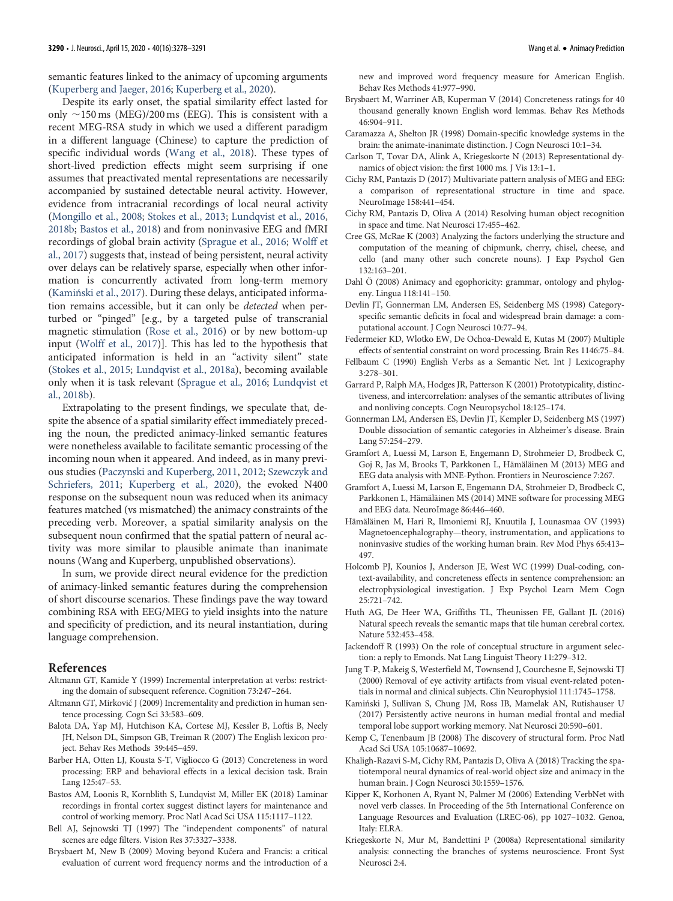semantic features linked to the animacy of upcoming arguments [\(Kuperberg and Jaeger, 2016;](#page-13-0) [Kuperberg et al., 2020\)](#page-13-21).

Despite its early onset, the spatial similarity effect lasted for only  $\sim$ 150 ms (MEG)/200 ms (EEG). This is consistent with a recent MEG-RSA study in which we used a different paradigm in a different language (Chinese) to capture the prediction of specific individual words ([Wang et al., 2018\)](#page-13-2). These types of short-lived prediction effects might seem surprising if one assumes that preactivated mental representations are necessarily accompanied by sustained detectable neural activity. However, evidence from intracranial recordings of local neural activity [\(Mongillo et al., 2008](#page-13-39); [Stokes et al., 2013](#page-13-40); [Lundqvist et al., 2016,](#page-13-41) [2018b;](#page-13-42) [Bastos et al., 2018\)](#page-12-29) and from noninvasive EEG and fMRI recordings of global brain activity [\(Sprague et al., 2016;](#page-13-43) [Wolff et](#page-13-44) [al., 2017\)](#page-13-44) suggests that, instead of being persistent, neural activity over delays can be relatively sparse, especially when other information is concurrently activated from long-term memory (Kamiń[ski et al., 2017\)](#page-12-30). During these delays, anticipated information remains accessible, but it can only be detected when perturbed or "pinged" [e.g., by a targeted pulse of transcranial magnetic stimulation ([Rose et al., 2016\)](#page-13-45) or by new bottom-up input [\(Wolff et al., 2017\)](#page-13-44)]. This has led to the hypothesis that anticipated information is held in an "activity silent" state [\(Stokes et al., 2015](#page-13-16); [Lundqvist et al., 2018a](#page-13-46)), becoming available only when it is task relevant [\(Sprague et al., 2016;](#page-13-43) [Lundqvist et](#page-13-42) [al., 2018b](#page-13-42)).

Extrapolating to the present findings, we speculate that, despite the absence of a spatial similarity effect immediately preceding the noun, the predicted animacy-linked semantic features were nonetheless available to facilitate semantic processing of the incoming noun when it appeared. And indeed, as in many previous studies ([Paczynski and Kuperberg, 2011,](#page-13-6) [2012;](#page-13-7) [Szewczyk and](#page-13-8) [Schriefers, 2011](#page-13-8); [Kuperberg et al., 2020](#page-13-21)), the evoked N400 response on the subsequent noun was reduced when its animacy features matched (vs mismatched) the animacy constraints of the preceding verb. Moreover, a spatial similarity analysis on the subsequent noun confirmed that the spatial pattern of neural activity was more similar to plausible animate than inanimate nouns (Wang and Kuperberg, unpublished observations).

In sum, we provide direct neural evidence for the prediction of animacy-linked semantic features during the comprehension of short discourse scenarios. These findings pave the way toward combining RSA with EEG/MEG to yield insights into the nature and specificity of prediction, and its neural instantiation, during language comprehension.

## References

- <span id="page-12-3"></span>Altmann GT, Kamide Y (1999) Incremental interpretation at verbs: restricting the domain of subsequent reference. Cognition 73:247–264.
- <span id="page-12-27"></span>Altmann GT, Mirkovic J (2009) Incrementality and prediction in human sentence processing. Cogn Sci 33:583–609.
- <span id="page-12-12"></span>Balota DA, Yap MJ, Hutchison KA, Cortese MJ, Kessler B, Loftis B, Neely JH, Nelson DL, Simpson GB, Treiman R (2007) The English lexicon project. Behav Res Methods 39:445–459.
- <span id="page-12-21"></span>Barber HA, Otten LJ, Kousta S-T, Vigliocco G (2013) Concreteness in word processing: ERP and behavioral effects in a lexical decision task. Brain Lang 125:47–53.
- <span id="page-12-29"></span>Bastos AM, Loonis R, Kornblith S, Lundqvist M, Miller EK (2018) Laminar recordings in frontal cortex suggest distinct layers for maintenance and control of working memory. Proc Natl Acad Sci USA 115:1117–1122.
- <span id="page-12-17"></span>Bell AJ, Sejnowski TJ (1997) The "independent components" of natural scenes are edge filters. Vision Res 37:3327–3338.
- <span id="page-12-14"></span>Brysbaert M, New B (2009) Moving beyond Kučera and Francis: a critical evaluation of current word frequency norms and the introduction of a

new and improved word frequency measure for American English. Behav Res Methods 41:977–990.

- <span id="page-12-19"></span>Brysbaert M, Warriner AB, Kuperman V (2014) Concreteness ratings for 40 thousand generally known English word lemmas. Behav Res Methods 46:904–911.
- <span id="page-12-0"></span>Caramazza A, Shelton JR (1998) Domain-specific knowledge systems in the brain: the animate-inanimate distinction. J Cogn Neurosci 10:1–34.
- <span id="page-12-25"></span>Carlson T, Tovar DA, Alink A, Kriegeskorte N (2013) Representational dynamics of object vision: the first 1000 ms. J Vis 13:1–1.
- <span id="page-12-10"></span>Cichy RM, Pantazis D (2017) Multivariate pattern analysis of MEG and EEG: a comparison of representational structure in time and space. NeuroImage 158:441–454.
- <span id="page-12-9"></span>Cichy RM, Pantazis D, Oliva A (2014) Resolving human object recognition in space and time. Nat Neurosci 17:455–462.
- <span id="page-12-28"></span>Cree GS, McRae K (2003) Analyzing the factors underlying the structure and computation of the meaning of chipmunk, cherry, chisel, cheese, and cello (and many other such concrete nouns). J Exp Psychol Gen 132:163–201.
- <span id="page-12-1"></span>Dahl Ö (2008) Animacy and egophoricity: grammar, ontology and phylogeny. Lingua 118:141–150.
- <span id="page-12-7"></span>Devlin JT, Gonnerman LM, Andersen ES, Seidenberg MS (1998) Categoryspecific semantic deficits in focal and widespread brain damage: a computational account. J Cogn Neurosci 10:77–94.
- <span id="page-12-11"></span>Federmeier KD, Wlotko EW, De Ochoa-Dewald E, Kutas M (2007) Multiple effects of sentential constraint on word processing. Brain Res 1146:75–84.
- <span id="page-12-13"></span>Fellbaum C (1990) English Verbs as a Semantic Net. Int J Lexicography 3:278–301.
- <span id="page-12-5"></span>Garrard P, Ralph MA, Hodges JR, Patterson K (2001) Prototypicality, distinctiveness, and intercorrelation: analyses of the semantic attributes of living and nonliving concepts. Cogn Neuropsychol 18:125–174.
- <span id="page-12-24"></span>Gonnerman LM, Andersen ES, Devlin JT, Kempler D, Seidenberg MS (1997) Double dissociation of semantic categories in Alzheimer's disease. Brain Lang 57:254–279.
- <span id="page-12-15"></span>Gramfort A, Luessi M, Larson E, Engemann D, Strohmeier D, Brodbeck C, Goj R, Jas M, Brooks T, Parkkonen L, Hämäläinen M (2013) MEG and EEG data analysis with MNE-Python. Frontiers in Neuroscience 7:267.
- <span id="page-12-16"></span>Gramfort A, Luessi M, Larson E, Engemann DA, Strohmeier D, Brodbeck C, Parkkonen L, Hämäläinen MS (2014) MNE software for processing MEG and EEG data. NeuroImage 86:446–460.
- <span id="page-12-22"></span>Hämäläinen M, Hari R, Ilmoniemi RJ, Knuutila J, Lounasmaa OV (1993) Magnetoencephalography—theory, instrumentation, and applications to noninvasive studies of the working human brain. Rev Mod Phys 65:413– 497.
- <span id="page-12-20"></span>Holcomb PJ, Kounios J, Anderson JE, West WC (1999) Dual-coding, context-availability, and concreteness effects in sentence comprehension: an electrophysiological investigation. J Exp Psychol Learn Mem Cogn 25:721–742.
- <span id="page-12-6"></span>Huth AG, De Heer WA, Griffiths TL, Theunissen FE, Gallant JL (2016) Natural speech reveals the semantic maps that tile human cerebral cortex. Nature 532:453–458.
- <span id="page-12-2"></span>Jackendoff R (1993) On the role of conceptual structure in argument selection: a reply to Emonds. Nat Lang Linguist Theory 11:279–312.
- <span id="page-12-18"></span>Jung T-P, Makeig S, Westerfield M, Townsend J, Courchesne E, Sejnowski TJ (2000) Removal of eye activity artifacts from visual event-related potentials in normal and clinical subjects. Clin Neurophysiol 111:1745–1758.
- <span id="page-12-30"></span>Kamiński J, Sullivan S, Chung JM, Ross IB, Mamelak AN, Rutishauser U (2017) Persistently active neurons in human medial frontal and medial temporal lobe support working memory. Nat Neurosci 20:590–601.
- <span id="page-12-4"></span>Kemp C, Tenenbaum JB (2008) The discovery of structural form. Proc Natl Acad Sci USA 105:10687–10692.
- <span id="page-12-26"></span>Khaligh-Razavi S-M, Cichy RM, Pantazis D, Oliva A (2018) Tracking the spatiotemporal neural dynamics of real-world object size and animacy in the human brain. J Cogn Neurosci 30:1559–1576.
- <span id="page-12-23"></span>Kipper K, Korhonen A, Ryant N, Palmer M (2006) Extending VerbNet with novel verb classes. In Proceeding of the 5th International Conference on Language Resources and Evaluation (LREC-06), pp 1027–1032. Genoa, Italy: ELRA.
- <span id="page-12-8"></span>Kriegeskorte N, Mur M, Bandettini P (2008a) Representational similarity analysis: connecting the branches of systems neuroscience. Front Syst Neurosci 2:4.